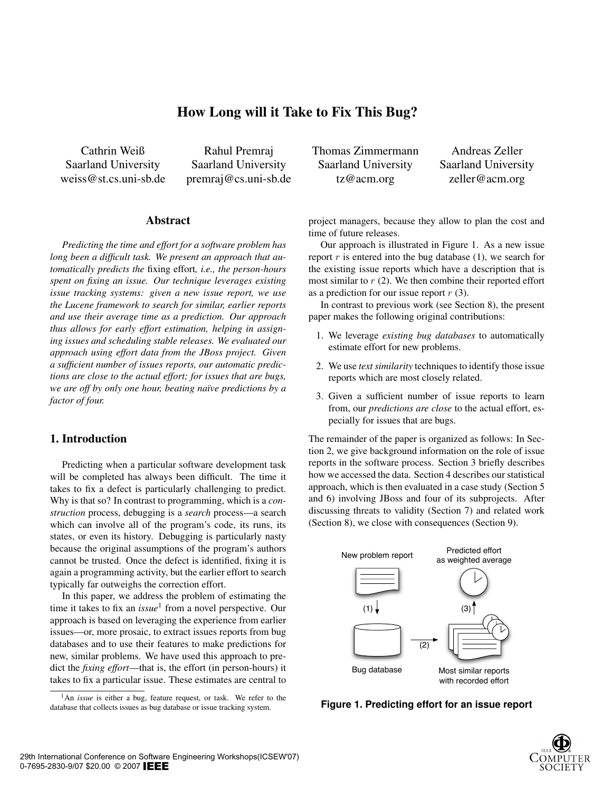## *How Long will it Take to Fix This Bug?*

*Cathrin Weiß Saarland University weiss@st.cs.uni-sb.de*

*Rahul Premraj Saarland University premraj@cs.uni-sb.de*

#### *Abstract*

*Predicting the time and effort for a software problem has long been a difficult task. We present an approach that automatically predicts the fixing effort, i.e., the person-hours spent on fixing an issue. Our technique leverages existing issue tracking systems: given a new issue report, we use the Lucene framework to search for similar, earlier reports and use their average time as a prediction. Our approach thus allows for early effort estimation, helping in assigning issues and scheduling stable releases. We evaluated our approach using effort data from the JBoss project. Given a sufficient number of issues reports, our automatic predictions are close to the actual effort; for issues that are bugs, we are off by only one hour, beating na¨ıve predictions by a factor of four.*

## *1. Introduction*

*Predicting when a particular software development task will be completed has always been difficult. The time it takes to fix a defect is particularly challenging to predict. Why is that so? In contrast to programming, which is a construction process, debugging is a search process—a search which can involve all of the program's code, its runs, its states, or even its history. Debugging is particularly nasty because the original assumptions of the program's authors cannot be trusted. Once the defect is identified, fixing it is again a programming activity, but the earlier effort to search typically far outweighs the correction effort.*

*In this paper, we address the problem of estimating the time it takes to fix an issue<sup>1</sup> from a novel perspective. Our approach is based on leveraging the experience from earlier issues—or, more prosaic, to extract issues reports from bug databases and to use their features to make predictions for new, similar problems. We have used this approach to predict the fixing effort—that is, the effort (in person-hours) it takes to fix a particular issue. These estimates are central to*

*Thomas Zimmermann Saarland University tz@acm.org*

*Andreas Zeller Saarland University zeller@acm.org*

*project managers, because they allow to plan the cost and time of future releases.*

*Our approach is illustrated in Figure 1. As a new issue report r is entered into the bug database (1), we search for the existing issue reports which have a description that is most similar to r (2). We then combine their reported effort as a prediction for our issue report r (3).*

*In contrast to previous work (see Section 8), the present paper makes the following original contributions:*

- *1. We leverage existing bug databases to automatically estimate effort for new problems.*
- *2. We use text similarity techniques to identify those issue reports which are most closely related.*
- *3. Given a sufficient number of issue reports to learn from, our predictions are close to the actual effort, especially for issues that are bugs.*

*The remainder of the paper is organized as follows: In Section 2, we give background information on the role of issue reports in the software process. Section 3 briefly describes how we accessed the data. Section 4 describes our statistical approach, which is then evaluated in a case study (Section 5 and 6) involving JBoss and four of its subprojects. After discussing threats to validity (Section 7) and related work (Section 8), we close with consequences (Section 9).*



**Figure 1. Predicting effort for an issue report**



*<sup>1</sup>An issue is either a bug, feature request, or task. We refer to the database that collects issues as bug database or issue tracking system.*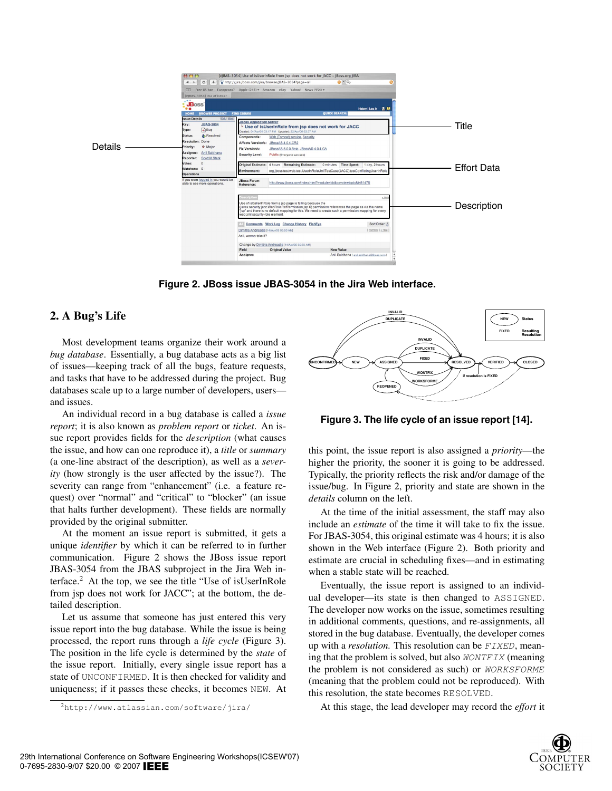

**Figure 2. JBoss issue JBAS-3054 in the Jira Web interface.**

# $2.12 - 2.82$

*Most development teams organize their work around a bug database. Essentially, a bug database acts as a big list of issues—keeping track of all the bugs, feature requests, and tasks that have to be addressed during the project. Bug databases scale up to a large number of developers, users and issues.*

*An individual record in a bug database is called a issue report; it is also known as problem report or ticket. An issue report provides fields for the description (what causes the issue, and how can one reproduce it), a title or summary (a one-line abstract of the description), as well as a severity (how strongly is the user affected by the issue?). The severity can range from "enhancement" (i.e. a feature request) over "normal" and "critical" to "blocker" (an issue that halts further development). These fields are normally provided by the original submitter.*

*At the moment an issue report is submitted, it gets a unique identifier by which it can be referred to in further communication. Figure 2 shows the JBoss issue report JBAS-3054 from the JBAS subproject in the Jira Web interface.<sup>2</sup> At the top, we see the title "Use of isUserInRole from jsp does not work for JACC"; at the bottom, the detailed description.*

*Let us assume that someone has just entered this very issue report into the bug database. While the issue is being processed, the report runs through a life cycle (Figure 3). The position in the life cycle is determined by the state of the issue report. Initially, every single issue report has a state of* UNCONFIRMED*. It is then checked for validity and uniqueness; if it passes these checks, it becomes* NEW*. At*



**Figure 3. The life cycle of an issue report [14].**

*this point, the issue report is also assigned a priority—the higher the priority, the sooner it is going to be addressed. Typically, the priority reflects the risk and/or damage of the issue/bug. In Figure 2, priority and state are shown in the details column on the left.*

*At the time of the initial assessment, the staff may also include an estimate of the time it will take to fix the issue. For JBAS-3054, this original estimate was 4 hours; it is also shown in the Web interface (Figure 2). Both priority and estimate are crucial in scheduling fixes—and in estimating when a stable state will be reached.*

*Eventually, the issue report is assigned to an individual developer—its state is then changed to* ASSIGNED*. The developer now works on the issue, sometimes resulting in additional comments, questions, and re-assignments, all stored in the bug database. Eventually, the developer comes up with a resolution. This resolution can be FIXED, meaning that the problem is solved, but also WONTFIX (meaning the problem is not considered as such) or WORKSFORME (meaning that the problem could not be reproduced). With this resolution, the state becomes* RESOLVED*.*

*At this stage, the lead developer may record the effort it*



*<sup>2</sup>*http://www.atlassian.com/software/jira/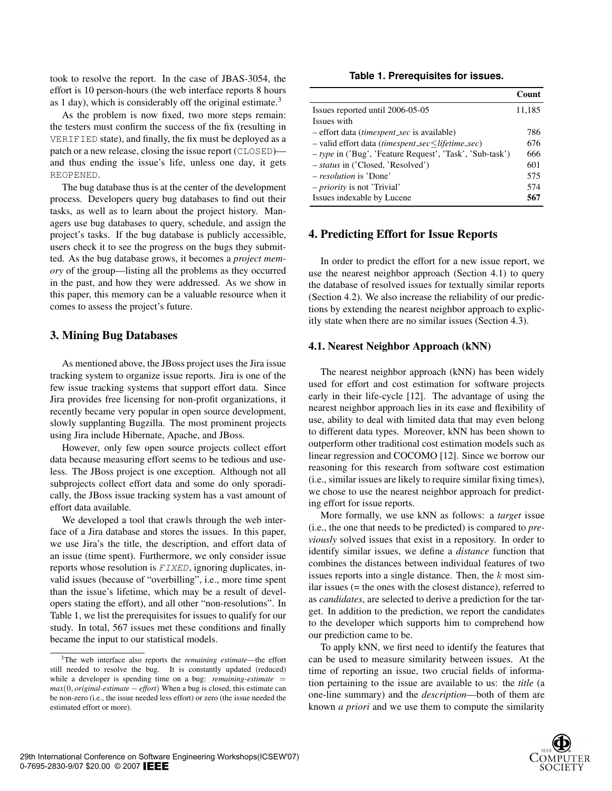*took to resolve the report. In the case of JBAS-3054, the effort is 10 person-hours (the web interface reports 8 hours as 1 day), which is considerably off the original estimate.3*

*As the problem is now fixed, two more steps remain: the testers must confirm the success of the fix (resulting in* VERIFIED *state), and finally, the fix must be deployed as a patch or a new release, closing the issue report (*CLOSED*) and thus ending the issue's life, unless one day, it gets* REOPENED*.*

*The bug database thus is at the center of the development process. Developers query bug databases to find out their tasks, as well as to learn about the project history. Managers use bug databases to query, schedule, and assign the project's tasks. If the bug database is publicly accessible, users check it to see the progress on the bugs they submitted. As the bug database grows, it becomes a project memory of the group—listing all the problems as they occurred in the past, and how they were addressed. As we show in this paper, this memory can be a valuable resource when it comes to assess the project's future.*

## 3. Mining Bug Databases

*As mentioned above, the JBoss project uses the Jira issue tracking system to organize issue reports. Jira is one of the few issue tracking systems that support effort data. Since Jira provides free licensing for non-profit organizations, it recently became very popular in open source development, slowly supplanting Bugzilla. The most prominent projects using Jira include Hibernate, Apache, and JBoss.*

*However, only few open source projects collect effort data because measuring effort seems to be tedious and useless. The JBoss project is one exception. Although not all subprojects collect effort data and some do only sporadically, the JBoss issue tracking system has a vast amount of effort data available.*

*We developed a tool that crawls through the web interface of a Jira database and stores the issues. In this paper, we use Jira's the title, the description, and effort data of an issue (time spent). Furthermore, we only consider issue reports whose resolution is FIXED, ignoring duplicates, invalid issues (because of "overbilling", i.e., more time spent than the issue's lifetime, which may be a result of developers stating the effort), and all other "non-resolutions". In Table 1, we list the prerequisites for issues to qualify for our study. In total, 567 issues met these conditions and finally became the input to our statistical models.*

#### **Table 1. Prerequisites for issues.**

|                                                                    | Count  |
|--------------------------------------------------------------------|--------|
| Issues reported until 2006-05-05                                   | 11,185 |
| Issues with                                                        |        |
| - effort data <i>(timespent_sec</i> is available)                  | 786    |
| - valid effort data ( <i>timespent_sec</i> < <i>lifetime_sec</i> ) | 676    |
| - type in ('Bug', 'Feature Request', 'Task', 'Sub-task')           | 666    |
| - <i>status</i> in ('Closed, 'Resolved')                           | 601    |
| <i>– resolution</i> is 'Done'                                      | 575    |
| - <i>priority</i> is not 'Trivial'                                 | 574    |
| Issues indexable by Lucene                                         | 567    |

## 4. Predicting Effort for Issue Reports

*In order to predict the effort for a new issue report, we use the nearest neighbor approach (Section 4.1) to query the database of resolved issues for textually similar reports (Section 4.2). We also increase the reliability of our predictions by extending the nearest neighbor approach to explicitly state when there are no similar issues (Section 4.3).*

#### 4.1. Nearest Neighbor Approach (kNN)

*The nearest neighbor approach (kNN) has been widely used for effort and cost estimation for software projects early in their life-cycle [12]. The advantage of using the nearest neighbor approach lies in its ease and flexibility of use, ability to deal with limited data that may even belong to different data types. Moreover, kNN has been shown to outperform other traditional cost estimation models such as linear regression and COCOMO [12]. Since we borrow our reasoning for this research from software cost estimation (i.e., similar issues are likely to require similar fixing times), we chose to use the nearest neighbor approach for predicting effort for issue reports.*

*More formally, we use kNN as follows: a target issue (i.e., the one that needs to be predicted) is compared to previously solved issues that exist in a repository. In order to identify similar issues, we define a distance function that combines the distances between individual features of two* issues reports into a single distance. Then, the *k* most sim*ilar issues (= the ones with the closest distance), referred to as candidates, are selected to derive a prediction for the target. In addition to the prediction, we report the candidates to the developer which supports him to comprehend how our prediction came to be.*

*To apply kNN, we first need to identify the features that can be used to measure similarity between issues. At the time of reporting an issue, two crucial fields of information pertaining to the issue are available to us: the title (a one-line summary) and the description—both of them are known a priori and we use them to compute the similarity*

*<sup>3</sup>The web interface also reports the remaining estimate—the effort still needed to resolve the bug. It is constantly updated (reduced)* while a developer is spending time on a bug: *remaining-estimate* = *max*(0*, original-estimate − effort*) *When a bug is closed, this estimate can be non-zero (i.e., the issue needed less effort) or zero (the issue needed the estimated effort or more).*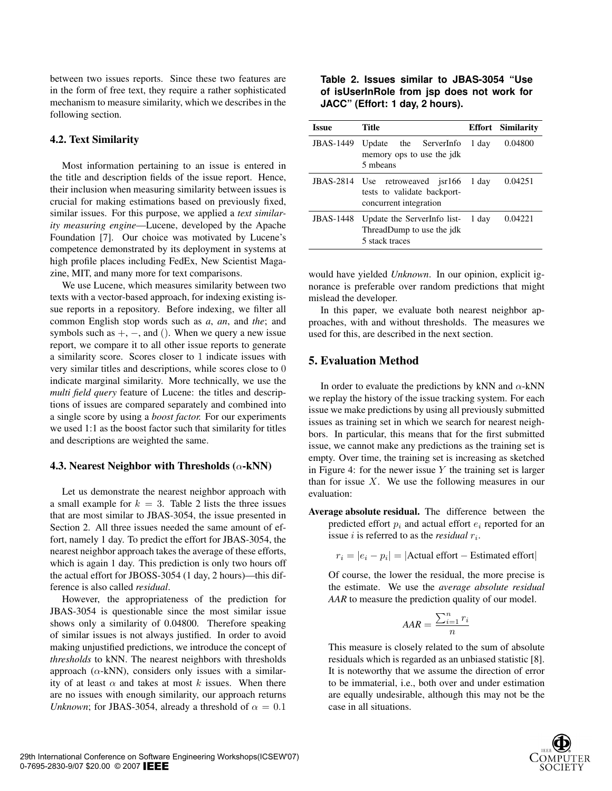*between two issues reports. Since these two features are in the form of free text, they require a rather sophisticated mechanism to measure similarity, which we describes in the following section.*

#### *4.2. Text Similarity*

*Most information pertaining to an issue is entered in the title and description fields of the issue report. Hence, their inclusion when measuring similarity between issues is crucial for making estimations based on previously fixed, similar issues. For this purpose, we applied a text similarity measuring engine—Lucene, developed by the Apache Foundation [7]. Our choice was motivated by Lucene's competence demonstrated by its deployment in systems at high profile places including FedEx, New Scientist Magazine, MIT, and many more for text comparisons.*

*We use Lucene, which measures similarity between two texts with a vector-based approach, for indexing existing issue reports in a repository. Before indexing, we filter all common English stop words such as a, an, and the; and symbols such as* +*, −, and* ()*. When we query a new issue report, we compare it to all other issue reports to generate a similarity score. Scores closer to* 1 *indicate issues with very similar titles and descriptions, while scores close to* 0 *indicate marginal similarity. More technically, we use the multi field query feature of Lucene: the titles and descriptions of issues are compared separately and combined into a single score by using a boost factor. For our experiments we used 1:1 as the boost factor such that similarity for titles and descriptions are weighted the same.*

#### *4.3. Nearest Neighbor with Thresholds (*α*-kNN)*

*Let us demonstrate the nearest neighbor approach with a small example for k* = 3*. Table 2 lists the three issues that are most similar to JBAS-3054, the issue presented in Section 2. All three issues needed the same amount of effort, namely 1 day. To predict the effort for JBAS-3054, the nearest neighbor approach takes the average of these efforts, which is again 1 day. This prediction is only two hours off the actual effort for JBOSS-3054 (1 day, 2 hours)—this difference is also called residual.*

*However, the appropriateness of the prediction for JBAS-3054 is questionable since the most similar issue shows only a similarity of 0.04800. Therefore speaking of similar issues is not always justified. In order to avoid making unjustified predictions, we introduce the concept of thresholds to kNN. The nearest neighbors with thresholds approach (*α*-kNN), considers only issues with a similarity of at least*  $\alpha$  *and takes at most*  $k$  *issues. When there are no issues with enough similarity, our approach returns Unknown*; for JBAS-3054, already a threshold of  $\alpha = 0.1$ 

**Table 2. Issues similar to JBAS-3054 "Use of isUserInRole from jsp does not work for JACC" (Effort: 1 day, 2 hours).**

| Issue            | <b>Title</b>                                                                              |       | <b>Effort</b> Similarity |
|------------------|-------------------------------------------------------------------------------------------|-------|--------------------------|
| <b>JBAS-1449</b> | Update the ServerInfo<br>memory ops to use the jdk<br>5 mbeans                            | 1 day | 0.04800                  |
|                  | JBAS-2814 Use retroweaved jsr166<br>tests to validate backport-<br>concurrent integration | 1 day | 0.04251                  |
| <b>JBAS-1448</b> | Update the ServerInfo list-<br>ThreadDump to use the jdk<br>5 stack traces                | 1 day | 0.04221                  |

*would have yielded Unknown. In our opinion, explicit ignorance is preferable over random predictions that might mislead the developer.*

*In this paper, we evaluate both nearest neighbor approaches, with and without thresholds. The measures we used for this, are described in the next section.*

#### *5. Evaluation Method*

*In order to evaluate the predictions by kNN and* α*-kNN we replay the history of the issue tracking system. For each issue we make predictions by using all previously submitted issues as training set in which we search for nearest neighbors. In particular, this means that for the first submitted issue, we cannot make any predictions as the training set is empty. Over time, the training set is increasing as sketched in Figure 4: for the newer issue Y the training set is larger than for issue X. We use the following measures in our evaluation:*

*Average absolute residual. The difference between the* predicted effort  $p_i$  and actual effort  $e_i$  reported for an *issue i is referred to as the residual ri.*

 $r_i = |e_i - p_i| = |\text{Actual effort} - \text{Estimated effort}|$ 

*Of course, the lower the residual, the more precise is the estimate. We use the average absolute residual AAR to measure the prediction quality of our model.*

$$
AAR = \frac{\sum_{i=1}^{n} r_i}{n}
$$

*This measure is closely related to the sum of absolute residuals which is regarded as an unbiased statistic [8]. It is noteworthy that we assume the direction of error to be immaterial, i.e., both over and under estimation are equally undesirable, although this may not be the case in all situations.*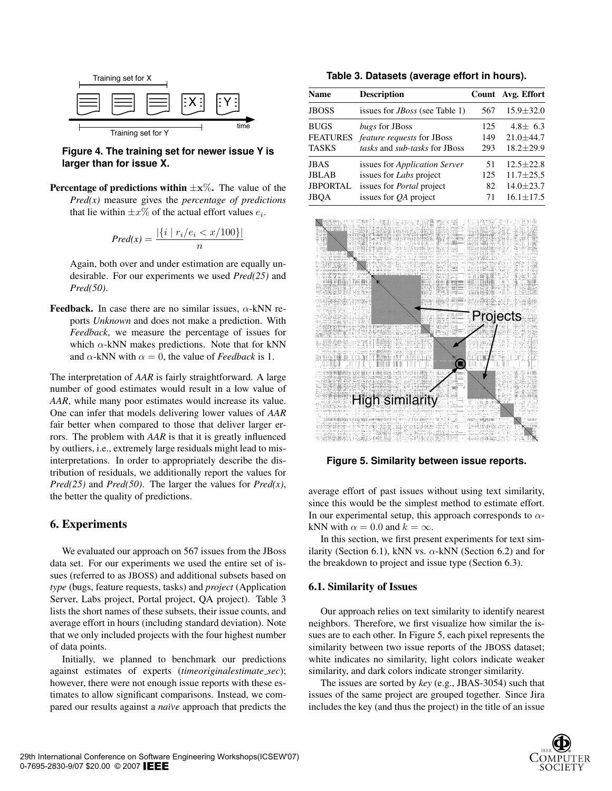

**Figure 4. The training set for newer issue Y is larger than for issue X.**

**Percentage of predictions within**  $\pm x\%$ **.** The value of the *Pred(x) measure gives the percentage of predictions that lie within*  $\pm x\%$  *of the actual effort values*  $e_i$ *.* 

$$
Pred(x) = \frac{|\{i \mid r_i/e_i < x/100\}|}{n}
$$

*Again, both over and under estimation are equally undesirable. For our experiments we used Pred(25) and Pred(50).*

**Feedback.** In case there are no similar issues,  $\alpha$ -kNN re*ports Unknown and does not make a prediction. With Feedback, we measure the percentage of issues for which* α*-kNN makes predictions. Note that for kNN and*  $\alpha$ -kNN with  $\alpha = 0$ , the value of *Feedback* is 1.

*The interpretation of AAR is fairly straightforward. A large number of good estimates would result in a low value of AAR, while many poor estimates would increase its value. One can infer that models delivering lower values of AAR fair better when compared to those that deliver larger errors. The problem with AAR is that it is greatly influenced by outliers, i.e., extremely large residuals might lead to misinterpretations. In order to appropriately describe the distribution of residuals, we additionally report the values for Pred(25)* and *Pred(50).* The larger the values for  $Pred(x)$ *, the better the quality of predictions.*

#### 6. Experiments

*We evaluated our approach on 567 issues from the JBoss data set. For our experiments we used the entire set of issues (referred to as JBOSS) and additional subsets based on type (bugs, feature requests, tasks) and project (Application Server, Labs project, Portal project, QA project). Table 3 lists the short names of these subsets, their issue counts, and average effort in hours (including standard deviation). Note that we only included projects with the four highest number of data points.*

*Initially, we planned to benchmark our predictions against estimates of experts (timeoriginalestimate sec); however, there were not enough issue reports with these estimates to allow significant comparisons. Instead, we compared our results against a na¨ıve approach that predicts the*

| Name     | <b>Description</b>                    | Count | Avg. Effort     |
|----------|---------------------------------------|-------|-----------------|
| JBOSS    | issues for <i>JBoss</i> (see Table 1) | 567   | $15.9 \pm 32.0$ |
| BUGS     | bugs for JBoss                        | 125   | 4.8 $\pm$ 6.3   |
| FEATURES | <i>feature requests</i> for JBoss     | 149   | $21.0 \pm 44.7$ |
| TASKS    | tasks and sub-tasks for JBoss         | 293   | $18.2 \pm 29.9$ |
| JBAS     | issues for <i>Application Server</i>  | 51    | $12.5 \pm 22.8$ |
| JBLAB    | issues for <i>Labs</i> project        | 125   | $11.7 \pm 25.5$ |
| JBPORTAL | issues for <i>Portal</i> project      | 82    | $14.0 \pm 23.7$ |
| JBOA     | issues for QA project                 | 71    | $16.1 \pm 17.5$ |



**Figure 5. Similarity between issue reports.**

*average effort of past issues without using text similarity, since this would be the simplest method to estimate effort. In our experimental setup, this approach corresponds to* α*kNN* with  $\alpha = 0.0$  and  $k = \infty$ *.* 

*In this section, we first present experiments for text similarity (Section 6.1), kNN vs.*  $\alpha$ -kNN (Section 6.2) and for *the breakdown to project and issue type (Section 6.3).*

#### 6.1. Similarity of Issues

*Our approach relies on text similarity to identify nearest neighbors. Therefore, we first visualize how similar the issues are to each other. In Figure 5, each pixel represents the similarity between two issue reports of the JBOSS dataset; white indicates no similarity, light colors indicate weaker similarity, and dark colors indicate stronger similarity.*

*The issues are sorted by key (e.g., JBAS-3054) such that issues of the same project are grouped together. Since Jira includes the key (and thus the project) in the title of an issue*

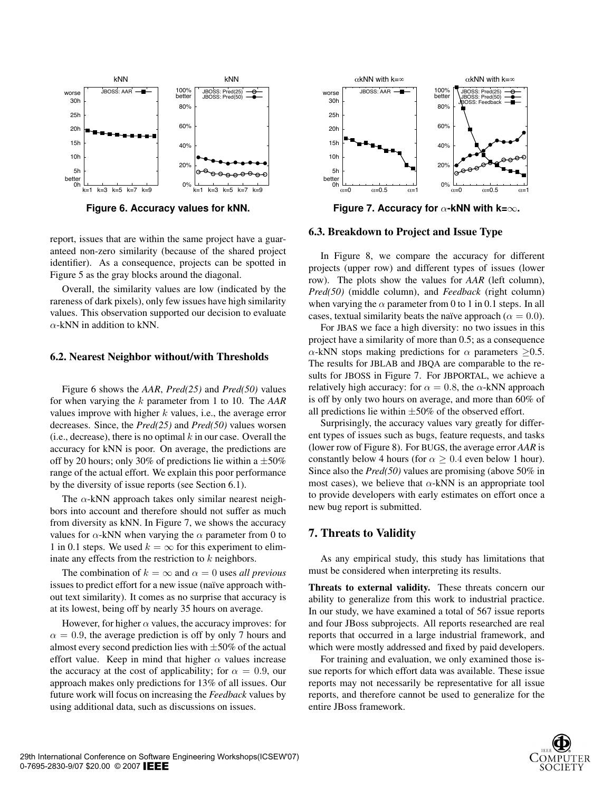

**Figure 6. Accuracy values for kNN.**

*report, issues that are within the same project have a guaranteed non-zero similarity (because of the shared project identifier). As a consequence, projects can be spotted in Figure 5 as the gray blocks around the diagonal.*

*Overall, the similarity values are low (indicated by the rareness of dark pixels), only few issues have high similarity values. This observation supported our decision to evaluate* α*-kNN in addition to kNN.*

#### *6.2. Nearest Neighbor without/with Thresholds*

*Figure 6 shows the AAR, Pred(25) and Pred(50) values for when varying the k parameter from 1 to 10. The AAR values improve with higher k values, i.e., the average error decreases. Since, the Pred(25) and Pred(50) values worsen (i.e., decrease), there is no optimal k in our case. Overall the accuracy for kNN is poor. On average, the predictions are off by 20 hours; only 30% of predictions lie within a ±50% range of the actual effort. We explain this poor performance by the diversity of issue reports (see Section 6.1).*

*The* α*-kNN approach takes only similar nearest neighbors into account and therefore should not suffer as much from diversity as kNN. In Figure 7, we shows the accuracy values for*  $\alpha$ -kNN when varying the  $\alpha$  parameter from 0 to 1 in 0.1 steps. We used  $k = \infty$  for this experiment to elim*inate any effects from the restriction to k neighbors.*

*The combination of*  $k = \infty$  *and*  $\alpha = 0$  *uses all previous issues to predict effort for a new issue (na¨ıve approach without text similarity). It comes as no surprise that accuracy is at its lowest, being off by nearly 35 hours on average.*

*However, for higher*  $\alpha$  *values, the accuracy improves: for*  $\alpha = 0.9$ , the average prediction is off by only 7 hours and *almost every second prediction lies with ±50% of the actual effort value. Keep in mind that higher* α *values increase the accuracy at the cost of applicability; for*  $\alpha = 0.9$ *, our approach makes only predictions for 13% of all issues. Our future work will focus on increasing the Feedback values by using additional data, such as discussions on issues.*



**Figure 7. Accuracy for** <sup>α</sup>**-kNN with k=**∞**.**

#### *6.3. Breakdown to Project and Issue Type*

*In Figure 8, we compare the accuracy for different projects (upper row) and different types of issues (lower row). The plots show the values for AAR (left column), Pred(50) (middle column), and Feedback (right column)* when varying the  $\alpha$  parameter from 0 to 1 in 0.1 steps. In all *cases, textual similarity beats the naïve approach (* $\alpha = 0.0$ *).* 

*For JBAS we face a high diversity: no two issues in this project have a similarity of more than 0.5; as a consequence*  $\alpha$ -kNN stops making predictions for  $\alpha$  parameters  $\geq 0.5$ . *The results for JBLAB and JBQA are comparable to the results for JBOSS in Figure 7. For JBPORTAL, we achieve a relatively high accuracy: for*  $\alpha = 0.8$ *, the*  $\alpha$ -kNN approach *is off by only two hours on average, and more than 60% of all predictions lie within ±50% of the observed effort.*

*Surprisingly, the accuracy values vary greatly for different types of issues such as bugs, feature requests, and tasks (lower row of Figure 8). For BUGS, the average error AAR is constantly below 4 hours (for*  $\alpha \geq 0.4$  *even below 1 hour). Since also the Pred(50) values are promising (above 50% in most cases), we believe that* α*-kNN is an appropriate tool to provide developers with early estimates on effort once a new bug report is submitted.*

## *7. Threats to Validity*

*As any empirical study, this study has limitations that must be considered when interpreting its results.*

*Threats to external validity. These threats concern our ability to generalize from this work to industrial practice. In our study, we have examined a total of 567 issue reports and four JBoss subprojects. All reports researched are real reports that occurred in a large industrial framework, and which were mostly addressed and fixed by paid developers.*

*For training and evaluation, we only examined those issue reports for which effort data was available. These issue reports may not necessarily be representative for all issue reports, and therefore cannot be used to generalize for the entire JBoss framework.*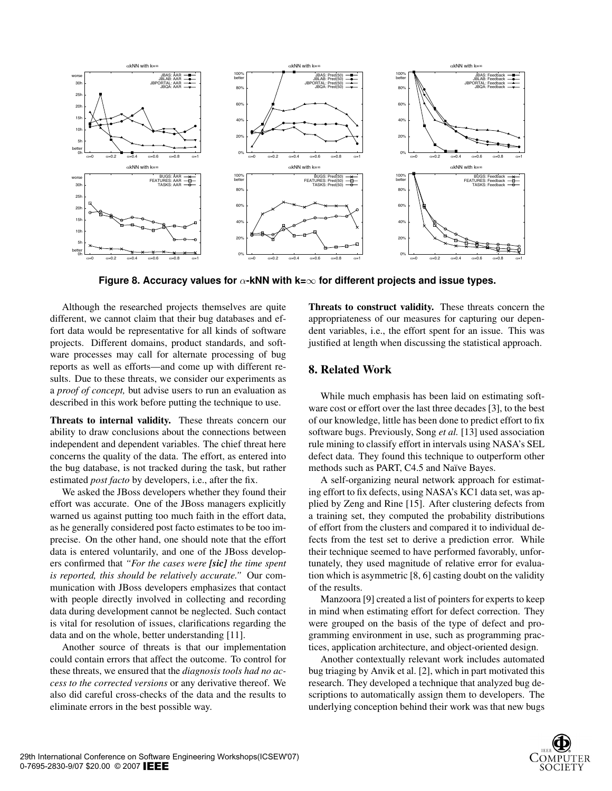

**Figure 8. Accuracy values for** α**-kNN with k=**∞ **for different projects and issue types.**

*Although the researched projects themselves are quite different, we cannot claim that their bug databases and effort data would be representative for all kinds of software projects. Different domains, product standards, and software processes may call for alternate processing of bug reports as well as efforts—and come up with different results. Due to these threats, we consider our experiments as a proof of concept, but advise users to run an evaluation as described in this work before putting the technique to use.*

Threats to internal validity. *These threats concern our ability to draw conclusions about the connections between independent and dependent variables. The chief threat here concerns the quality of the data. The effort, as entered into the bug database, is not tracked during the task, but rather estimated post facto by developers, i.e., after the fix.*

*We asked the JBoss developers whether they found their effort was accurate. One of the JBoss managers explicitly warned us against putting too much faith in the effort data, as he generally considered post facto estimates to be too imprecise. On the other hand, one should note that the effort data is entered voluntarily, and one of the JBoss developers confirmed that "For the cases were [sic] the time spent is reported, this should be relatively accurate." Our communication with JBoss developers emphasizes that contact with people directly involved in collecting and recording data during development cannot be neglected. Such contact is vital for resolution of issues, clarifications regarding the data and on the whole, better understanding [11].*

*Another source of threats is that our implementation could contain errors that affect the outcome. To control for these threats, we ensured that the diagnosis tools had no access to the corrected versions or any derivative thereof. We also did careful cross-checks of the data and the results to eliminate errors in the best possible way.*

Threats to construct validity. *These threats concern the appropriateness of our measures for capturing our dependent variables, i.e., the effort spent for an issue. This was justified at length when discussing the statistical approach.*

## 8. Related Work

*While much emphasis has been laid on estimating software cost or effort over the last three decades [3], to the best of our knowledge, little has been done to predict effort to fix software bugs. Previously, Song et al. [13] used association rule mining to classify effort in intervals using NASA's SEL defect data. They found this technique to outperform other methods such as PART, C4.5 and Na¨ıve Bayes.*

*A self-organizing neural network approach for estimating effort to fix defects, using NASA's KC1 data set, was applied by Zeng and Rine [15]. After clustering defects from a training set, they computed the probability distributions of effort from the clusters and compared it to individual defects from the test set to derive a prediction error. While their technique seemed to have performed favorably, unfortunately, they used magnitude of relative error for evaluation which is asymmetric [8, 6] casting doubt on the validity of the results.*

*Manzoora [9] created a list of pointers for experts to keep in mind when estimating effort for defect correction. They were grouped on the basis of the type of defect and programming environment in use, such as programming practices, application architecture, and object-oriented design.*

*Another contextually relevant work includes automated bug triaging by Anvik et al. [2], which in part motivated this research. They developed a technique that analyzed bug descriptions to automatically assign them to developers. The underlying conception behind their work was that new bugs*